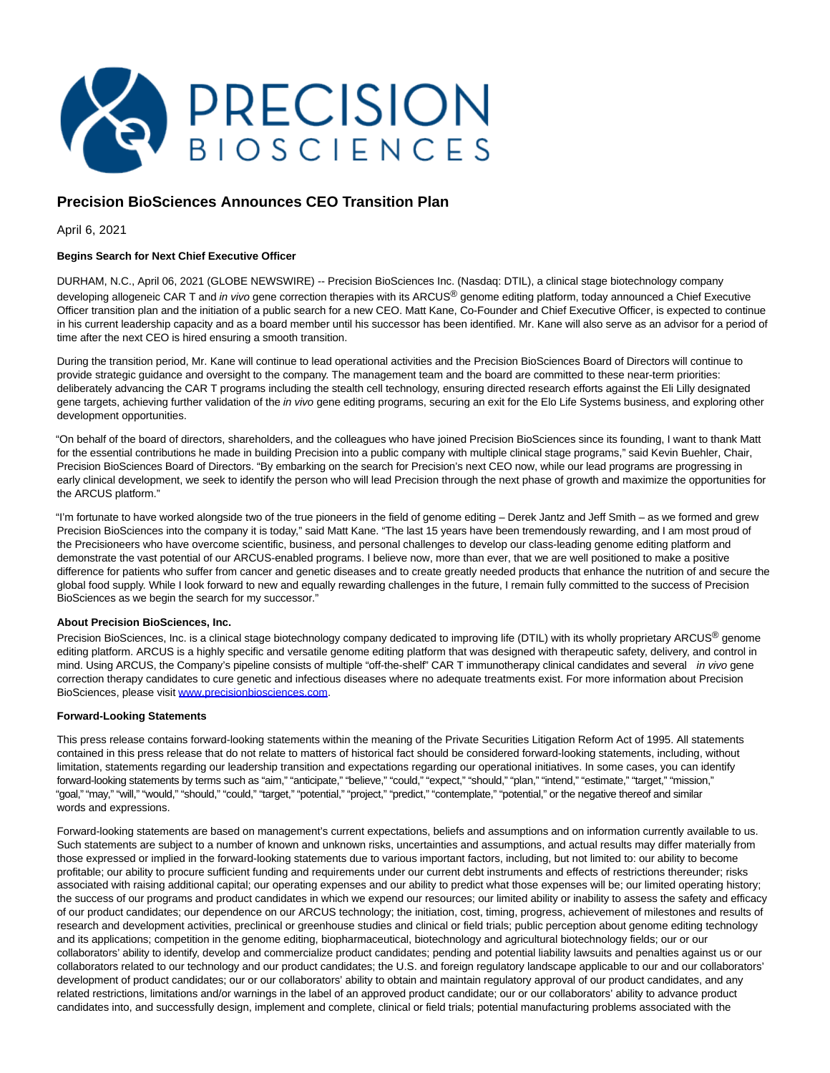

## **Precision BioSciences Announces CEO Transition Plan**

April 6, 2021

## **Begins Search for Next Chief Executive Officer**

DURHAM, N.C., April 06, 2021 (GLOBE NEWSWIRE) -- Precision BioSciences Inc. (Nasdaq: DTIL), a clinical stage biotechnology company developing allogeneic CAR T and in vivo gene correction therapies with its ARCUS® genome editing platform, today announced a Chief Executive Officer transition plan and the initiation of a public search for a new CEO. Matt Kane, Co-Founder and Chief Executive Officer, is expected to continue in his current leadership capacity and as a board member until his successor has been identified. Mr. Kane will also serve as an advisor for a period of time after the next CEO is hired ensuring a smooth transition.

During the transition period, Mr. Kane will continue to lead operational activities and the Precision BioSciences Board of Directors will continue to provide strategic guidance and oversight to the company. The management team and the board are committed to these near-term priorities: deliberately advancing the CAR T programs including the stealth cell technology, ensuring directed research efforts against the Eli Lilly designated gene targets, achieving further validation of the in vivo gene editing programs, securing an exit for the Elo Life Systems business, and exploring other development opportunities.

"On behalf of the board of directors, shareholders, and the colleagues who have joined Precision BioSciences since its founding, I want to thank Matt for the essential contributions he made in building Precision into a public company with multiple clinical stage programs," said Kevin Buehler, Chair, Precision BioSciences Board of Directors. "By embarking on the search for Precision's next CEO now, while our lead programs are progressing in early clinical development, we seek to identify the person who will lead Precision through the next phase of growth and maximize the opportunities for the ARCUS platform."

"I'm fortunate to have worked alongside two of the true pioneers in the field of genome editing – Derek Jantz and Jeff Smith – as we formed and grew Precision BioSciences into the company it is today," said Matt Kane. "The last 15 years have been tremendously rewarding, and I am most proud of the Precisioneers who have overcome scientific, business, and personal challenges to develop our class-leading genome editing platform and demonstrate the vast potential of our ARCUS-enabled programs. I believe now, more than ever, that we are well positioned to make a positive difference for patients who suffer from cancer and genetic diseases and to create greatly needed products that enhance the nutrition of and secure the global food supply. While I look forward to new and equally rewarding challenges in the future, I remain fully committed to the success of Precision BioSciences as we begin the search for my successor."

## **About Precision BioSciences, Inc.**

Precision BioSciences, Inc. is a clinical stage biotechnology company dedicated to improving life (DTIL) with its wholly proprietary ARCUS® genome editing platform. ARCUS is a highly specific and versatile genome editing platform that was designed with therapeutic safety, delivery, and control in mind. Using ARCUS, the Company's pipeline consists of multiple "off-the-shelf" CAR T immunotherapy clinical candidates and several in vivo gene correction therapy candidates to cure genetic and infectious diseases where no adequate treatments exist. For more information about Precision BioSciences, please visit [www.precisionbiosciences.com.](https://www.globenewswire.com/Tracker?data=EKli6yhVr57udCXvMo_8VNr0abG0Dz_XxiXqXyaicg8U-xSPhQJYoBCCLCsgSBwNGKeoc0OCxJVtGwfKNvEx4IvCav8umL3qKdAhcljXqskyBFcS9J1jgIKvMOoAG0fu)

## **Forward-Looking Statements**

This press release contains forward-looking statements within the meaning of the Private Securities Litigation Reform Act of 1995. All statements contained in this press release that do not relate to matters of historical fact should be considered forward-looking statements, including, without limitation, statements regarding our leadership transition and expectations regarding our operational initiatives. In some cases, you can identify forward-looking statements by terms such as "aim," "anticipate," "believe," "could," "expect," "should," "plan," "intend," "estimate," "target," "mission," "goal," "may," "will," "would," "should," "could," "target," "potential," "project," "predict," "contemplate," "potential," or the negative thereof and similar words and expressions.

Forward-looking statements are based on management's current expectations, beliefs and assumptions and on information currently available to us. Such statements are subject to a number of known and unknown risks, uncertainties and assumptions, and actual results may differ materially from those expressed or implied in the forward-looking statements due to various important factors, including, but not limited to: our ability to become profitable; our ability to procure sufficient funding and requirements under our current debt instruments and effects of restrictions thereunder; risks associated with raising additional capital; our operating expenses and our ability to predict what those expenses will be; our limited operating history; the success of our programs and product candidates in which we expend our resources; our limited ability or inability to assess the safety and efficacy of our product candidates; our dependence on our ARCUS technology; the initiation, cost, timing, progress, achievement of milestones and results of research and development activities, preclinical or greenhouse studies and clinical or field trials; public perception about genome editing technology and its applications; competition in the genome editing, biopharmaceutical, biotechnology and agricultural biotechnology fields; our or our collaborators' ability to identify, develop and commercialize product candidates; pending and potential liability lawsuits and penalties against us or our collaborators related to our technology and our product candidates; the U.S. and foreign regulatory landscape applicable to our and our collaborators' development of product candidates; our or our collaborators' ability to obtain and maintain regulatory approval of our product candidates, and any related restrictions, limitations and/or warnings in the label of an approved product candidate; our or our collaborators' ability to advance product candidates into, and successfully design, implement and complete, clinical or field trials; potential manufacturing problems associated with the